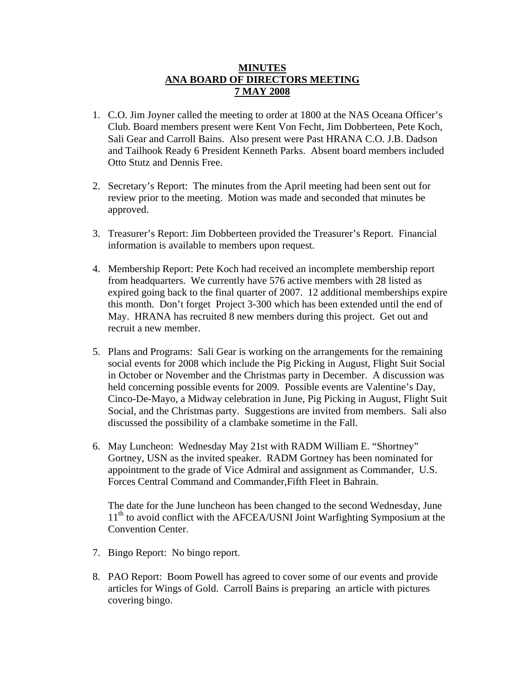## **MINUTES ANA BOARD OF DIRECTORS MEETING 7 MAY 2008**

- 1. C.O. Jim Joyner called the meeting to order at 1800 at the NAS Oceana Officer's Club. Board members present were Kent Von Fecht, Jim Dobberteen, Pete Koch, Sali Gear and Carroll Bains. Also present were Past HRANA C.O. J.B. Dadson and Tailhook Ready 6 President Kenneth Parks. Absent board members included Otto Stutz and Dennis Free.
- 2. Secretary's Report: The minutes from the April meeting had been sent out for review prior to the meeting. Motion was made and seconded that minutes be approved.
- 3. Treasurer's Report: Jim Dobberteen provided the Treasurer's Report. Financial information is available to members upon request.
- 4. Membership Report: Pete Koch had received an incomplete membership report from headquarters. We currently have 576 active members with 28 listed as expired going back to the final quarter of 2007. 12 additional memberships expire this month. Don't forget Project 3-300 which has been extended until the end of May. HRANA has recruited 8 new members during this project. Get out and recruit a new member.
- 5. Plans and Programs: Sali Gear is working on the arrangements for the remaining social events for 2008 which include the Pig Picking in August, Flight Suit Social in October or November and the Christmas party in December. A discussion was held concerning possible events for 2009. Possible events are Valentine's Day, Cinco-De-Mayo, a Midway celebration in June, Pig Picking in August, Flight Suit Social, and the Christmas party. Suggestions are invited from members. Sali also discussed the possibility of a clambake sometime in the Fall.
- 6. May Luncheon: Wednesday May 21st with RADM William E. "Shortney" Gortney, USN as the invited speaker. RADM Gortney has been nominated for appointment to the grade of Vice Admiral and assignment as Commander, U.S. Forces Central Command and Commander,Fifth Fleet in Bahrain.

The date for the June luncheon has been changed to the second Wednesday, June 11<sup>th</sup> to avoid conflict with the AFCEA/USNI Joint Warfighting Symposium at the Convention Center.

- 7. Bingo Report: No bingo report.
- 8. PAO Report: Boom Powell has agreed to cover some of our events and provide articles for Wings of Gold. Carroll Bains is preparing an article with pictures covering bingo.